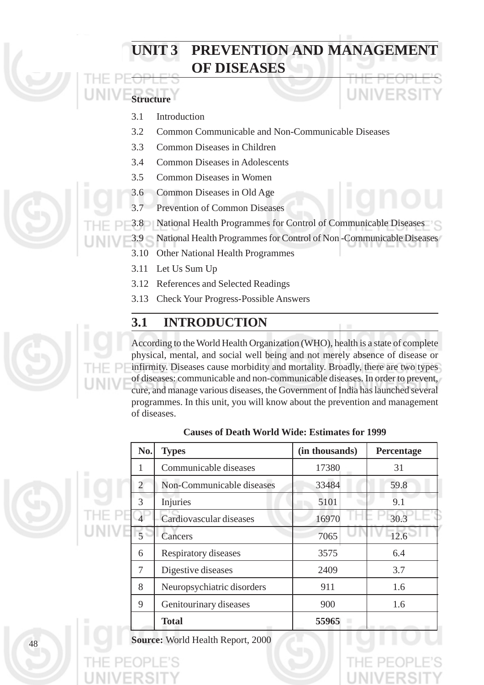## **POPULATION AND MANAGEMENT OF DISEASES**

## **Structure**

- 3.1 Introduction
- 3.2 Common Communicable and Non-Communicable Diseases
- 3.3 Common Diseases in Children
- 3.4 Common Diseases in Adolescents
- 3.5 Common Diseases in Women
- 3.6 Common Diseases in Old Age
- 3.7 Prevention of Common Diseases
- 3.8 National Health Programmes for Control of Communicable Diseases
	- 3.9 National Health Programmes for Control of Non -Communicable Diseases
		- 3.10 Other National Health Programmes
		- 3.11 Let Us Sum Up
		- 3.12 References and Selected Readings
		- 3.13 Check Your Progress-Possible Answers

## **3.1 INTRODUCTION**

According to the World Health Organization (WHO), health is a state of complete physical, mental, and social well being and not merely absence of disease or infirmity. Diseases cause morbidity and mortality. Broadly, there are two types of diseases: communicable and non-communicable diseases. In order to prevent, cure, and manage various diseases, the Government of India has launched several programmes. In this unit, you will know about the prevention and management of diseases.

| No. | <b>Types</b>               | (in thousands) | Percentage |
|-----|----------------------------|----------------|------------|
| 1   | Communicable diseases      | 17380          | 31         |
| 2   | Non-Communicable diseases  | 33484          | 59.8       |
| 3   | Injuries                   | 5101           | 9.1        |
|     | Cardiovascular diseases    | 16970          | 30.3       |
| 5   | Cancers                    | 7065           | 12.6       |
| 6   | Respiratory diseases       | 3575           | 6.4        |
| 7   | Digestive diseases         | 2409           | 3.7        |
| 8   | Neuropsychiatric disorders | 911            | 1.6        |
| 9   | Genitourinary diseases     | 900            | 1.6        |
|     | <b>Total</b>               | 55965          |            |

#### **Causes of Death World Wide: Estimates for 1999**

**Source:** World Health Report, 2000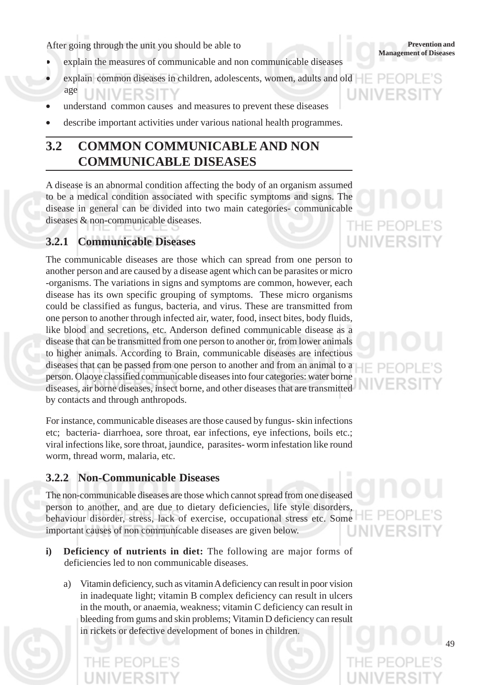After going through the unit you should be able to **Example 2019** Prevention and Management of Diseases

- explain the measures of communicable and non communicable diseases
- explain common diseases in children, adolescents, women, adults and old age
- understand common causes and measures to prevent these diseases
- describe important activities under various national health programmes.

## **3.2 COMMON COMMUNICABLE AND NON COMMUNICABLE DISEASES**

A disease is an abnormal condition affecting the body of an organism assumed to be a medical condition associated with specific symptoms and signs. The disease in general can be divided into two main categories- communicable diseases & non-communicable diseases.

#### **3.2.1 Communicable Diseases**

The communicable diseases are those which can spread from one person to another person and are caused by a disease agent which can be parasites or micro -organisms. The variations in signs and symptoms are common, however, each disease has its own specific grouping of symptoms. These micro organisms could be classified as fungus, bacteria, and virus. These are transmitted from one person to another through infected air, water, food, insect bites, body fluids, like blood and secretions, etc. Anderson defined communicable disease as a disease that can be transmitted from one person to another or, from lower animals to higher animals. According to Brain, communicable diseases are infectious diseases that can be passed from one person to another and from an animal to a person. Olaoye classified communicable diseases into four categories: water borne diseases, air borne diseases, insect borne, and other diseases that are transmitted by contacts and through anthropods.

For instance, communicable diseases are those caused by fungus- skin infections etc; bacteria- diarrhoea, sore throat, ear infections, eye infections, boils etc.; viral infections like, sore throat, jaundice, parasites- worm infestation like round worm, thread worm, malaria, etc.

#### **3.2.2 Non-Communicable Diseases**

The non-communicable diseases are those which cannot spread from one diseased person to another, and are due to dietary deficiencies, life style disorders, behaviour disorder, stress, lack of exercise, occupational stress etc. Some important causes of non communicable diseases are given below.

- **i) Deficiency of nutrients in diet:** The following are major forms of deficiencies led to non communicable diseases.
	- a) Vitamin deficiency, such as vitamin A deficiency can result in poor vision in inadequate light; vitamin B complex deficiency can result in ulcers in the mouth, or anaemia, weakness; vitamin C deficiency can result in bleeding from gums and skin problems; Vitamin D deficiency can result in rickets or defective development of bones in children.



THE PE UNIVERSI

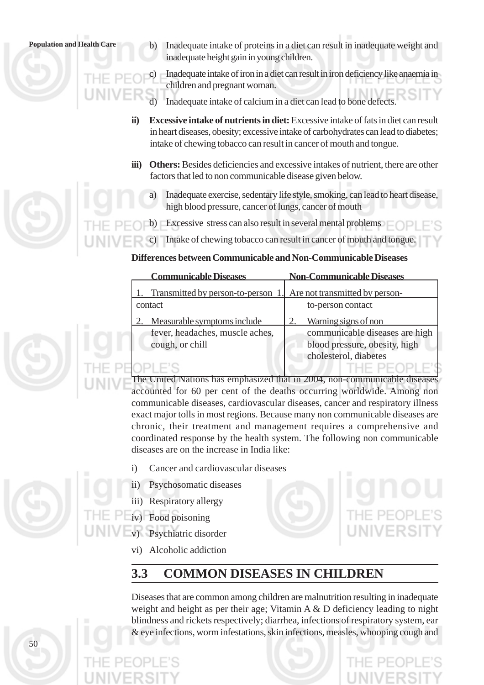50

**Population and Health Care** b) Inadequate intake of proteins in a diet can result in inadequate weight and inadequate height gain in young children.

> Inadequate intake of iron in a diet can result in iron deficiency like anaemia in children and pregnant woman.

- Inadequate intake of calcium in a diet can lead to bone defects.
- **ii) Excessive intake of nutrients in diet:** Excessive intake of fats in diet can result in heart diseases, obesity; excessive intake of carbohydrates can lead to diabetes; intake of chewing tobacco can result in cancer of mouth and tongue.
- **iii)** Others: Besides deficiencies and excessive intakes of nutrient, there are other factors that led to non communicable disease given below.
	- Inadequate exercise, sedentary life style, smoking, can lead to heart disease, high blood pressure, cancer of lungs, cancer of mouth
- b) Excessive stress can also result in several mental problems
- Intake of chewing tobacco can result in cancer of mouth and tongue.

#### **Differences between Communicable and Non-Communicable Diseases**

| <b>Communicable Diseases</b>                                      | <b>Non-Communicable Diseases</b> |
|-------------------------------------------------------------------|----------------------------------|
| Transmitted by person-to-person 1. Are not transmitted by person- |                                  |
| contact                                                           | to-person contact                |
| Measurable symptoms include                                       | Warning signs of non             |
| fever, headaches, muscle aches,                                   | communicable diseases are high   |
| cough, or chill                                                   | blood pressure, obesity, high    |
|                                                                   | cholesterol, diabetes            |
|                                                                   |                                  |

The United Nations has emphasized that in 2004, non-communicable diseases accounted for 60 per cent of the deaths occurring worldwide. Among non communicable diseases, cardiovascular diseases, cancer and respiratory illness exact major tolls in most regions. Because many non communicable diseases are chronic, their treatment and management requires a comprehensive and coordinated response by the health system. The following non communicable diseases are on the increase in India like:

- i) Cancer and cardiovascular diseases
- ii) Psychosomatic diseases
- iii) Respiratory allergy
- iv) Food poisoning
	- v) Psychiatric disorder
		- vi) Alcoholic addiction

## **3.3 COMMON DISEASES IN CHILDREN**

Diseases that are common among children are malnutrition resulting in inadequate weight and height as per their age; Vitamin A & D deficiency leading to night blindness and rickets respectively; diarrhea, infections of respiratory system, ear & eye infections, worm infestations, skin infections, measles, whooping cough and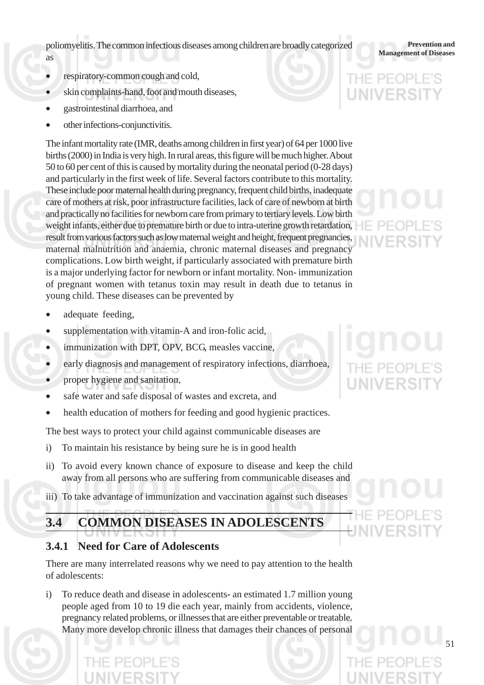poliomyelitis. The common infectious diseases among children are broadly categorized<br>Management of Diseases

- as
- respiratory-common cough and cold,
- skin complaints-hand, foot and mouth diseases,
- gastrointestinal diarrhoea, and
- other infections-conjunctivitis.

The infant mortality rate (IMR, deaths among children in first year) of 64 per 1000 live births (2000) in India is very high. In rural areas, this figure will be much higher. About 50 to 60 per cent of this is caused by mortality during the neonatal period (0-28 days) and particularly in the first week of life. Several factors contribute to this mortality. These include poor maternal health during pregnancy, frequent child births, inadequate care of mothers at risk, poor infrastructure facilities, lack of care of newborn at birth and practically no facilities for newborn care from primary to tertiary levels. Low birth weight infants, either due to premature birth or due to intra-uterine growth retardation, result from various factors such as low maternal weight and height, frequent pregnancies, maternal malnutrition and anaemia, chronic maternal diseases and pregnancy complications. Low birth weight, if particularly associated with premature birth is a major underlying factor for newborn or infant mortality. Non- immunization of pregnant women with tetanus toxin may result in death due to tetanus in young child. These diseases can be prevented by

- adequate feeding,
- supplementation with vitamin-A and iron-folic acid,
- immunization with DPT, OPV, BCG, measles vaccine,
- early diagnosis and management of respiratory infections, diarrhoea,
- proper hygiene and sanitation,
- safe water and safe disposal of wastes and excreta, and
- health education of mothers for feeding and good hygienic practices.

The best ways to protect your child against communicable diseases are

- i) To maintain his resistance by being sure he is in good health
- ii) To avoid every known chance of exposure to disease and keep the child away from all persons who are suffering from communicable diseases and
- iii) To take advantage of immunization and vaccination against such diseases

## **3.4 COMMON DISEASES IN ADOLESCENTS**

#### **3.4.1 Need for Care of Adolescents**

There are many interrelated reasons why we need to pay attention to the health of adolescents:

i) To reduce death and disease in adolescents**-** an estimated 1.7 million young people aged from 10 to 19 die each year, mainly from accidents, violence, pregnancy related problems, or illnesses that are either preventable or treatable. Many more develop chronic illness that damages their chances of personal

**Prevention and**

# THE PEOI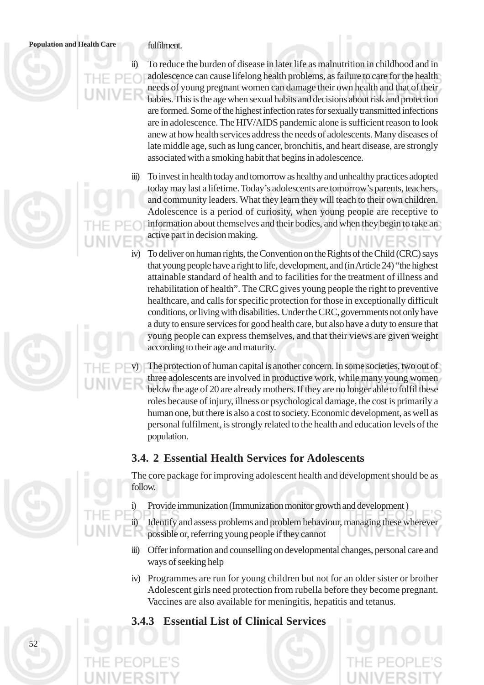#### **Population and Health Care** fulfilment.

ii) To reduce the burden of disease in later life as malnutrition in childhood and in adolescence can cause lifelong health problems, as failure to care for the health needs of young pregnant women can damage their own health and that of their babies. This is the age when sexual habits and decisions about risk and protection are formed. Some of the highest infection rates for sexually transmitted infections are in adolescence. The HIV/AIDS pandemic alone is sufficient reason to look anew at how health services address the needs of adolescents. Many diseases of late middle age, such as lung cancer, bronchitis, and heart disease, are strongly associated with a smoking habit that begins in adolescence.

iii) To invest in health today and tomorrow as healthy and unhealthy practices adopted today may last a lifetime. Today's adolescents are tomorrow's parents, teachers, and community leaders. What they learn they will teach to their own children. Adolescence is a period of curiosity, when young people are receptive to information about themselves and their bodies, and when they begin to take an active part in decision making.

To deliver on human rights, the Convention on the Rights of the Child (CRC) says that young people have a right to life, development, and (in Article 24) "the highest attainable standard of health and to facilities for the treatment of illness and rehabilitation of health". The CRC gives young people the right to preventive healthcare, and calls for specific protection for those in exceptionally difficult conditions, or living with disabilities. Under the CRC, governments not only have a duty to ensure services for good health care, but also have a duty to ensure that young people can express themselves, and that their views are given weight according to their age and maturity.

The protection of human capital is another concern. In some societies, two out of three adolescents are involved in productive work, while many young women below the age of 20 are already mothers. If they are no longer able to fulfil these roles because of injury, illness or psychological damage, the cost is primarily a human one, but there is also a cost to society. Economic development, as well as personal fulfilment, is strongly related to the health and education levels of the population.

#### **3.4. 2 Essential Health Services for Adolescents**



The core package for improving adolescent health and development should be as follow.

i) Provide immunization (Immunization monitor growth and development )

ii) Identify and assess problems and problem behaviour, managing these wherever possible or, referring young people if they cannot

- iii) Offer information and counselling on developmental changes, personal care and ways of seeking help
- iv) Programmes are run for young children but not for an older sister or brother Adolescent girls need protection from rubella before they become pregnant. Vaccines are also available for meningitis, hepatitis and tetanus.
- **3.4.3 Essential List of Clinical Services**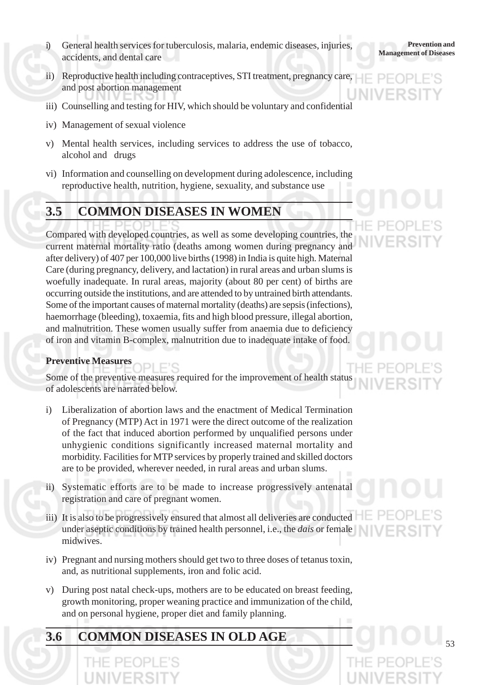- i) General health services for tuberculosis, malaria, endemic diseases, injuries,<br>Management of Diseases accidents, and dental care
- ii) Reproductive health including contraceptives, STI treatment, pregnancy care, and post abortion management
- iii) Counselling and testing for HIV, which should be voluntary and confidential
- iv) Management of sexual violence
- v) Mental health services, including services to address the use of tobacco, alcohol and drugs
- vi) Information and counselling on development during adolescence, including reproductive health, nutrition, hygiene, sexuality, and substance use

#### **3.5 COMMON DISEASES IN WOMEN**

Compared with developed countries, as well as some developing countries, the current maternal mortality ratio (deaths among women during pregnancy and after delivery) of 407 per 100,000 live births (1998) in India is quite high. Maternal Care (during pregnancy, delivery, and lactation) in rural areas and urban slums is woefully inadequate. In rural areas, majority (about 80 per cent) of births are occurring outside the institutions, and are attended to by untrained birth attendants. Some of the important causes of maternal mortality (deaths) are sepsis (infections), haemorrhage (bleeding), toxaemia, fits and high blood pressure, illegal abortion, and malnutrition. These women usually suffer from anaemia due to deficiency of iron and vitamin B-complex, malnutrition due to inadequate intake of food.

#### **Preventive Measures**

Some of the preventive measures required for the improvement of health status of adolescents are narrated below.

- i) Liberalization of abortion laws and the enactment of Medical Termination of Pregnancy (MTP) Act in 1971 were the direct outcome of the realization of the fact that induced abortion performed by unqualified persons under unhygienic conditions significantly increased maternal mortality and morbidity. Facilities for MTP services by properly trained and skilled doctors are to be provided, wherever needed, in rural areas and urban slums.
- ii) Systematic efforts are to be made to increase progressively antenatal registration and care of pregnant women.
- iii) It is also to be progressively ensured that almost all deliveries are conducted under aseptic conditions by trained health personnel, i.e., the *dais* or female midwives.
- iv) Pregnant and nursing mothers should get two to three doses of tetanus toxin, and, as nutritional supplements, iron and folic acid.
- v) During post natal check-ups, mothers are to be educated on breast feeding, growth monitoring, proper weaning practice and immunization of the child, and on personal hygiene, proper diet and family planning.

#### **3.6 COMMON DISEASES IN OLD AGE**

**Prevention and**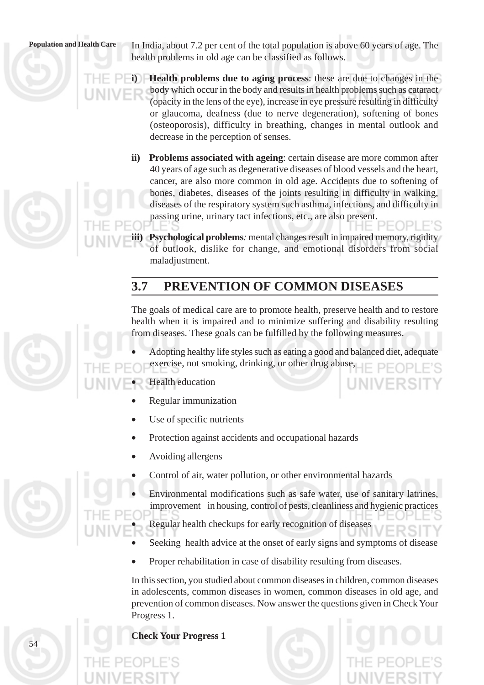**Population and Health Care** In India, about 7.2 per cent of the total population is above 60 years of age. The health problems in old age can be classified as follows.

> **Health problems due to aging process:** these are due to changes in the body which occur in the body and results in health problems such as cataract (opacity in the lens of the eye), increase in eye pressure resulting in difficulty or glaucoma, deafness (due to nerve degeneration), softening of bones (osteoporosis), difficulty in breathing, changes in mental outlook and decrease in the perception of senses.

- **ii) Problems associated with ageing**: certain disease are more common after 40 years of age such as degenerative diseases of blood vessels and the heart, cancer, are also more common in old age. Accidents due to softening of bones, diabetes, diseases of the joints resulting in difficulty in walking, diseases of the respiratory system such asthma, infections, and difficulty in passing urine, urinary tact infections, etc., are also present.
- **iii) Psychological problems***:* mental changes result in impaired memory, rigidity of outlook, dislike for change, and emotional disorders from social maladjustment.

## **3.7 PREVENTION OF COMMON DISEASES**

The goals of medical care are to promote health, preserve health and to restore health when it is impaired and to minimize suffering and disability resulting from diseases. These goals can be fulfilled by the following measures.

• Adopting healthy life styles such as eating a good and balanced diet, adequate exercise, not smoking, drinking, or other drug abuse,

#### Health education

- Regular immunization
- Use of specific nutrients
- Protection against accidents and occupational hazards
- Avoiding allergens
- Control of air, water pollution, or other environmental hazards
- Environmental modifications such as safe water, use of sanitary latrines, improvement in housing, control of pests, cleanliness and hygienic practices

• Regular health checkups for early recognition of diseases

- Seeking health advice at the onset of early signs and symptoms of disease
- Proper rehabilitation in case of disability resulting from diseases.

In this section, you studied about common diseases in children, common diseases in adolescents, common diseases in women, common diseases in old age, and prevention of common diseases. Now answer the questions given in Check Your Progress 1.

#### **Check Your Progress 1**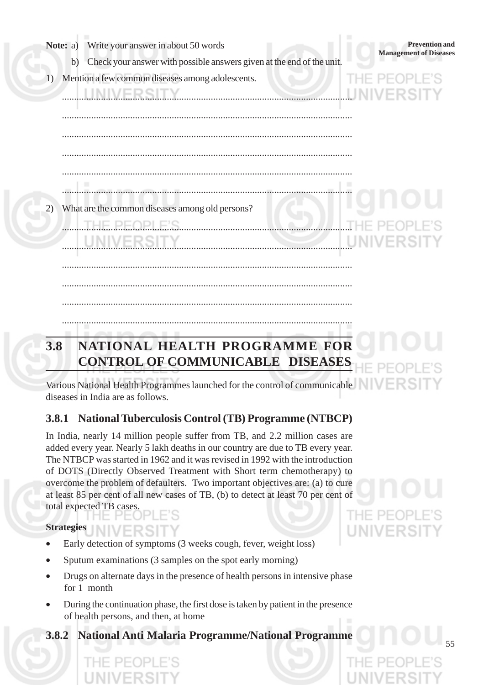|     | Write your answer in about 50 words<br>Note: a)                                                                                 | <b>Prevention</b> and<br><b>Management of Diseases</b> |
|-----|---------------------------------------------------------------------------------------------------------------------------------|--------------------------------------------------------|
| 1)  | Check your answer with possible answers given at the end of the unit.<br>b)<br>Mention a few common diseases among adolescents. |                                                        |
|     |                                                                                                                                 |                                                        |
|     |                                                                                                                                 |                                                        |
| 2)  | What are the common diseases among old persons?                                                                                 |                                                        |
|     | UNIVERSITY                                                                                                                      | UNIVERSIT                                              |
|     |                                                                                                                                 |                                                        |
|     |                                                                                                                                 |                                                        |
| 3.8 | NATIONAL HEALTH PROGRAMME FOR<br>CONTINUE OR COMMITMENT OF REPORT ORG                                                           |                                                        |

## **CONTROL OF COMMUNICABLE DISEASES**

Various National Health Programmes launched for the control of communicable diseases in India are as follows.

#### **3.8.1 National Tuberculosis Control (TB) Programme (NTBCP)**

In India, nearly 14 million people suffer from TB, and 2.2 million cases are added every year. Nearly 5 lakh deaths in our country are due to TB every year. The NTBCP was started in 1962 and it was revised in 1992 with the introduction of DOTS (Directly Observed Treatment with Short term chemotherapy) to overcome the problem of defaulters. Two important objectives are: (a) to cure at least 85 per cent of all new cases of TB, (b) to detect at least 70 per cent of total expected TB cases.

**Strategies**

- Early detection of symptoms (3 weeks cough, fever, weight loss)
- Sputum examinations (3 samples on the spot early morning)
- Drugs on alternate days in the presence of health persons in intensive phase for 1 month
- During the continuation phase, the first dose is taken by patient in the presence of health persons, and then, at home
- **3.8.2 National Anti Malaria Programme/National Programme**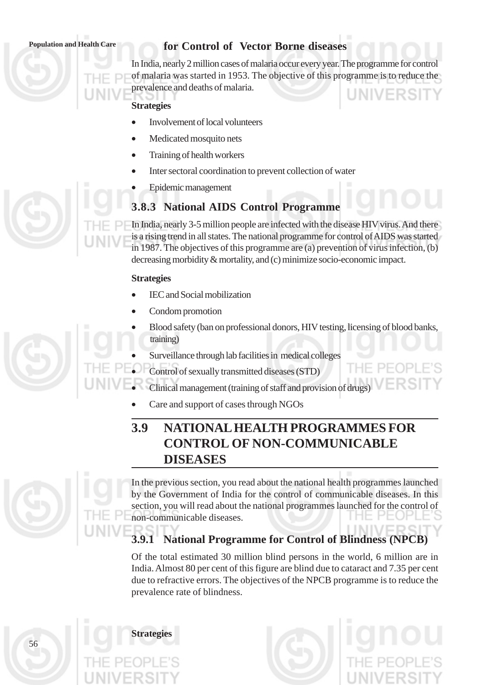#### **Population and Health Care for Control of Vector Borne diseases**

In India, nearly 2 million cases of malaria occur every year. The programme for control of malaria was started in 1953. The objective of this programme is to reduce the prevalence and deaths of malaria. **LINIVERS** 

#### **Strategies**

- Involvement of local volunteers
- Medicated mosquito nets
- Training of health workers
- Inter sectoral coordination to prevent collection of water
- Epidemic management

#### **3.8.3 National AIDS Control Programme**

In India, nearly 3-5 million people are infected with the disease HIV virus. And there is a rising trend in all states. The national programme for control of AIDS was started in 1987. The objectives of this programme are (a) prevention of virus infection, (b) decreasing morbidity & mortality, and (c) minimize socio-economic impact.

#### **Strategies**

- IEC and Social mobilization
- Condom promotion
- Blood safety (ban on professional donors, HIV testing, licensing of blood banks, training)
- Surveillance through lab facilities in medical colleges
- Control of sexually transmitted diseases (STD)
- Clinical management (training of staff and provision of drugs)
- Care and support of cases through NGOs

## **3.9 NATIONAL HEALTH PROGRAMMES FOR CONTROL OF NON-COMMUNICABLE DISEASES**

In the previous section, you read about the national health programmes launched by the Government of India for the control of communicable diseases. In this section, you will read about the national programmes launched for the control of non-communicable diseases.

## **3.9.1 National Programme for Control of Blindness (NPCB)**

Of the total estimated 30 million blind persons in the world, 6 million are in India. Almost 80 per cent of this figure are blind due to cataract and 7.35 per cent due to refractive errors. The objectives of the NPCB programme is to reduce the prevalence rate of blindness.

**Strategies**



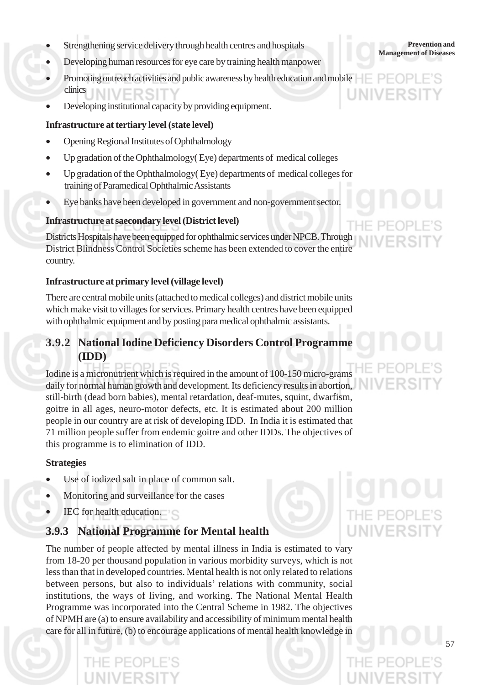- **Management of Diseases** Management of Diseases Management of Diseases
- Developing human resources for eye care by training health manpower
- Promoting outreach activities and public awareness by health education and mobile clinics
- Developing institutional capacity by providing equipment.

#### **Infrastructure at tertiary level (state level)**

- Opening Regional Institutes of Ophthalmology
- Up gradation of the Ophthalmology( Eye) departments of medical colleges
- Up gradation of the Ophthalmology( Eye) departments of medical colleges for training of Paramedical Ophthalmic Assistants
- Eye banks have been developed in government and non-government sector.

#### **Infrastructure at saecondary level (District level)**

Districts Hospitals have been equipped for ophthalmic services under NPCB. Through District Blindness Control Societies scheme has been extended to cover the entire country.

#### **Infrastructure at primary level (village level)**

There are central mobile units (attached to medical colleges) and district mobile units which make visit to villages for services. Primary health centres have been equipped with ophthalmic equipment and by posting para medical ophthalmic assistants.

#### **3.9.2 National Iodine Deficiency Disorders Control Programme (IDD)**

Iodine is a micronutrient which is required in the amount of 100-150 micro-grams daily for normal human growth and development. Its deficiency results in abortion, still-birth (dead born babies), mental retardation, deaf-mutes, squint, dwarfism, goitre in all ages, neuro-motor defects, etc. It is estimated about 200 million people in our country are at risk of developing IDD. In India it is estimated that 71 million people suffer from endemic goitre and other IDDs. The objectives of this programme is to elimination of IDD.

#### **Strategies**

- Use of iodized salt in place of common salt.
- Monitoring and surveillance for the cases
- IEC for health education.

#### **3.9.3 National Programme for Mental health**

The number of people affected by mental illness in India is estimated to vary from 18-20 per thousand population in various morbidity surveys, which is not less than that in developed countries. Mental health is not only related to relations between persons, but also to individuals' relations with community, social institutions, the ways of living, and working. The National Mental Health Programme was incorporated into the Central Scheme in 1982. The objectives of NPMH are (a) to ensure availability and accessibility of minimum mental health care for all in future, (b) to encourage applications of mental health knowledge in



**Prevention and**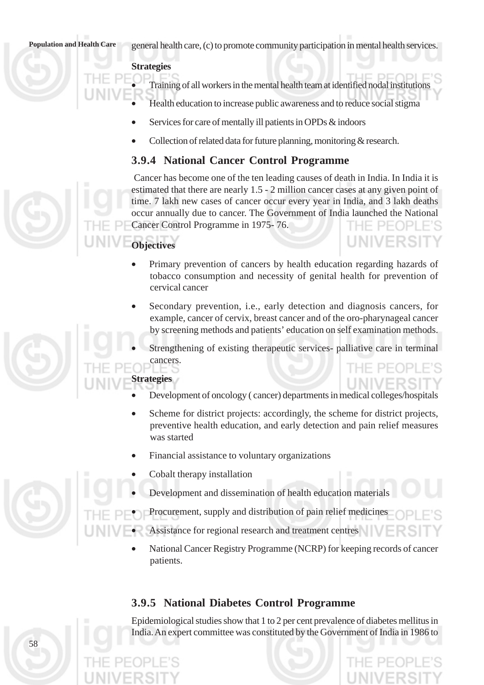**Population and Health Care** general health care, (c) to promote community participation in mental health services.

#### **Strategies**

• Training of all workers in the mental health team at identified nodal institutions

- Health education to increase public awareness and to reduce social stigma
- Services for care of mentally ill patients in OPDs & indoors
- Collection of related data for future planning, monitoring & research.

#### **3.9.4 National Cancer Control Programme**

 Cancer has become one of the ten leading causes of death in India. In India it is estimated that there are nearly 1.5 - 2 million cancer cases at any given point of time. 7 lakh new cases of cancer occur every year in India, and 3 lakh deaths occur annually due to cancer. The Government of India launched the National Cancer Control Programme in 1975- 76.  $P F \cap P$ 

#### **Objectives**

• Primary prevention of cancers by health education regarding hazards of tobacco consumption and necessity of genital health for prevention of cervical cancer

**LINIVERS** 

- Secondary prevention, i.e., early detection and diagnosis cancers, for example, cancer of cervix, breast cancer and of the oro-pharynageal cancer by screening methods and patients' education on self examination methods.
- Strengthening of existing therapeutic services- palliative care in terminal cancers.

#### **Strategies**

- Development of oncology ( cancer) departments in medical colleges/hospitals
- Scheme for district projects: accordingly, the scheme for district projects, preventive health education, and early detection and pain relief measures was started
- Financial assistance to voluntary organizations

• Cobalt therapy installation

58

- Development and dissemination of health education materials
- Procurement, supply and distribution of pain relief medicines
- Assistance for regional research and treatment centres
	- National Cancer Registry Programme (NCRP) for keeping records of cancer patients.

#### **3.9.5 National Diabetes Control Programme**

Epidemiological studies show that 1 to 2 per cent prevalence of diabetes mellitus in India. An expert committee was constituted by the Government of India in 1986 to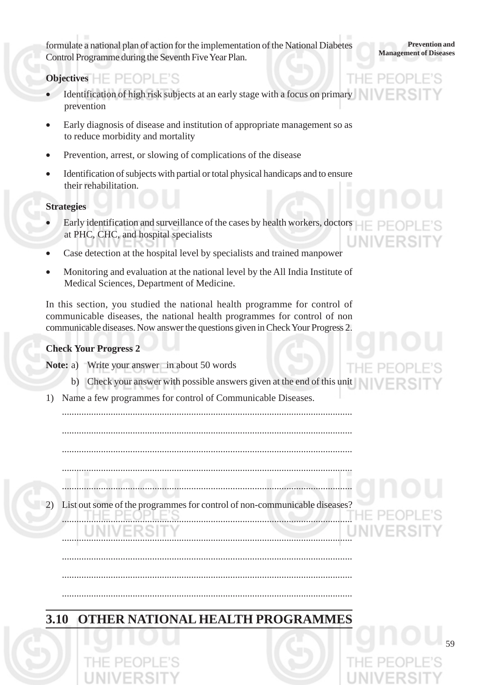**Management of Diseases**<br>Management of Diseases Control Programme during the Seventh Five Year Plan.

**Prevention and**

#### **Objectives**  $H \in \mathsf{PFOPI} \to \mathsf{S}$

- Identification of high risk subjects at an early stage with a focus on primary prevention
- Early diagnosis of disease and institution of appropriate management so as to reduce morbidity and mortality
- Prevention, arrest, or slowing of complications of the disease
- Identification of subjects with partial or total physical handicaps and to ensure their rehabilitation.

#### **Strategies**

- Early identification and surveillance of the cases by health workers, doctors  $\Box$ at PHC, CHC, and hospital specialists
- Case detection at the hospital level by specialists and trained manpower
- Monitoring and evaluation at the national level by the All India Institute of Medical Sciences, Department of Medicine.

In this section, you studied the national health programme for control of communicable diseases, the national health programmes for control of non communicable diseases. Now answer the questions given in Check Your Progress 2.

#### **Check Your Progress 2**

**Note:** a) Write your answer in about 50 words

b) Check your answer with possible answers given at the end of this unit

.......................................................................................................................

1) Name a few programmes for control of Communicable Diseases.

.......................................................................................................................

.......................................................................................................................

.......................................................................................................................

.......................................................................................................................

.......................................................................................................................

List out some of the programmes for control of non-communicable diseases?

.......................................................................................................................

.......................................................................................................................

.......................................................................................................................

.......................................................................................................................

## **3.10 OTHER NATIONAL HEALTH PROGRAMMES**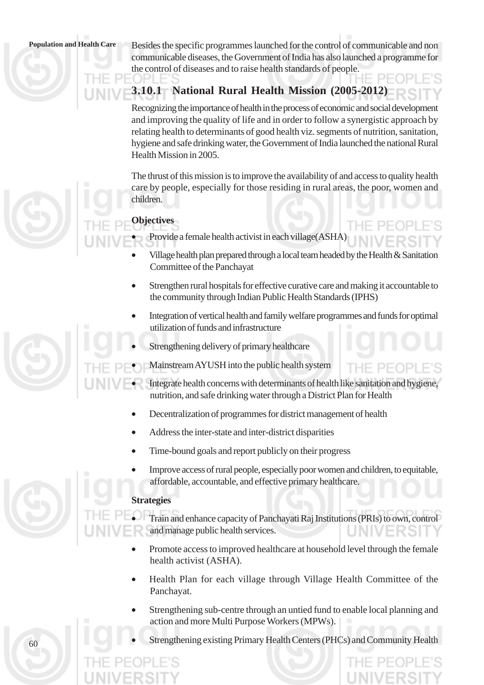**Population and Health Care** Besides the specific programmes launched for the control of communicable and non communicable diseases, the Government of India has also launched a programme for the control of diseases and to raise health standards of people.

#### **3.10.1 National Rural Health Mission (2005-2012)**

Recognizing the importance of health in the process of economic and social development and improving the quality of life and in order to follow a synergistic approach by relating health to determinants of good health viz. segments of nutrition, sanitation, hygiene and safe drinking water, the Government of India launched the national Rural Health Mission in 2005.

The thrust of this mission is to improve the availability of and access to quality health care by people, especially for those residing in rural areas, the poor, women and children.

#### **Objectives**

-f

- Provide a female health activist in each village(ASHA)
- Village health plan prepared through a local team headed by the Health  $\&$  Sanitation Committee of the Panchayat
- Strengthen rural hospitals for effective curative care and making it accountable to the community through Indian Public Health Standards (IPHS)
- Integration of vertical health and family welfare programmes and funds for optimal utilization of funds and infrastructure
- Strengthening delivery of primary healthcare
- Mainstream AYUSH into the public health system
- Integrate health concerns with determinants of health like sanitation and hygiene, nutrition, and safe drinking water through a District Plan for Health
- Decentralization of programmes for district management of health
- Address the inter-state and inter-district disparities
- Time-bound goals and report publicly on their progress
- Improve access of rural people, especially poor women and children, to equitable, affordable, accountable, and effective primary healthcare.

#### **Strategies**

• Train and enhance capacity of Panchayati Raj Institutions (PRIs) to own, control and manage public health services.

- Promote access to improved healthcare at household level through the female health activist (ASHA).
- Health Plan for each village through Village Health Committee of the Panchayat.
- Strengthening sub-centre through an untied fund to enable local planning and action and more Multi Purpose Workers (MPWs).
- Strengthening existing Primary Health Centers (PHCs) and Community Health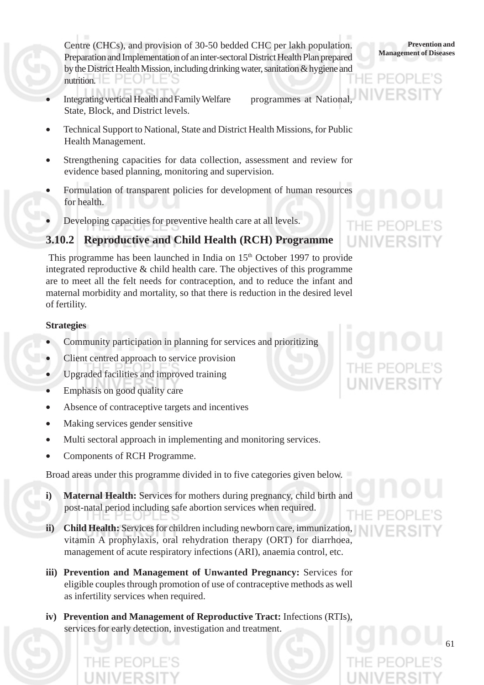Centre (CHCs), and provision of 30-50 bedded CHC per lakh population. Preparation and Implementation of an inter-sectoral District Health Plan prepared by the District Health Mission, including drinking water, sanitation & hygiene and nutrition.  $\Box$   $\Box$   $\Box$   $\Box$ 

Integrating vertical Health and Family Welfare programmes at National, State, Block, and District levels.

• Technical Support to National, State and District Health Missions, for Public Health Management.

- Strengthening capacities for data collection, assessment and review for evidence based planning, monitoring and supervision.
- Formulation of transparent policies for development of human resources for health.
- Developing capacities for preventive health care at all levels.

#### **3.10.2 Reproductive and Child Health (RCH) Programme**

This programme has been launched in India on 15<sup>th</sup> October 1997 to provide integrated reproductive & child health care. The objectives of this programme are to meet all the felt needs for contraception, and to reduce the infant and maternal morbidity and mortality, so that there is reduction in the desired level of fertility.

#### **Strategies**

- Community participation in planning for services and prioritizing
- Client centred approach to service provision
- Upgraded facilities and improved training
- Emphasis on good quality care
- Absence of contraceptive targets and incentives
- Making services gender sensitive
- Multi sectoral approach in implementing and monitoring services.
- Components of RCH Programme.

Broad areas under this programme divided in to five categories given below.

- **i) Maternal Health:** Services for mothers during pregnancy, child birth and post-natal period including safe abortion services when required.
- **ii) Child Health:** Services for children including newborn care, immunization, vitamin A prophylaxis, oral rehydration therapy (ORT) for diarrhoea, management of acute respiratory infections (ARI), anaemia control, etc.
- **iii) Prevention and Management of Unwanted Pregnancy:** Services for eligible couples through promotion of use of contraceptive methods as well as infertility services when required.
- **iv) Prevention and Management of Reproductive Tract:** Infections (RTIs), services for early detection, investigation and treatment.



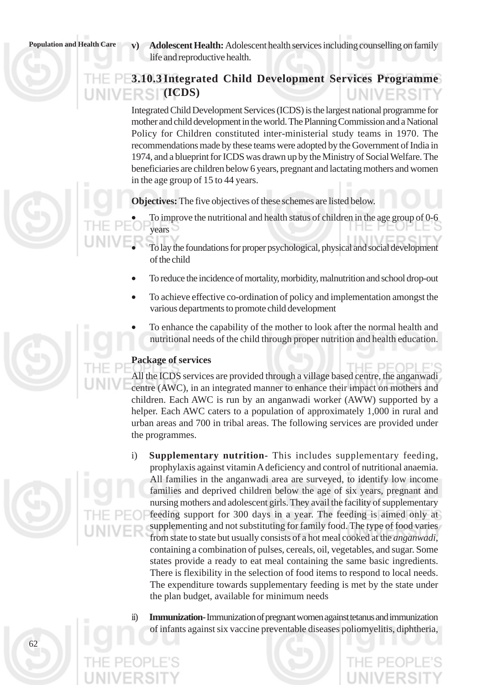**Population and Health Care**  $\bf v)$  **<b>Adolescent Health:** Adolescent health services including counselling on family life and reproductive health.

#### **3.10.3Integrated Child Development Services Programme (ICDS)** INIVERSI

Integrated Child Development Services (ICDS) is the largest national programme for mother and child development in the world. The Planning Commission and a National Policy for Children constituted inter-ministerial study teams in 1970. The recommendations made by these teams were adopted by the Government of India in 1974, and a blueprint for ICDS was drawn up by the Ministry of Social Welfare. The beneficiaries are children below 6 years, pregnant and lactating mothers and women in the age group of 15 to 44 years.

**Objectives:** The five objectives of these schemes are listed below.

• To improve the nutritional and health status of children in the age group of 0-6 years

- To lay the foundations for proper psychological, physical and social development of the child
- To reduce the incidence of mortality, morbidity, malnutrition and school drop-out
- To achieve effective co-ordination of policy and implementation amongst the various departments to promote child development
- To enhance the capability of the mother to look after the normal health and nutritional needs of the child through proper nutrition and health education.

#### **Package of services**

All the ICDS services are provided through a village based centre, the anganwadi centre (AWC), in an integrated manner to enhance their impact on mothers and children. Each AWC is run by an anganwadi worker (AWW) supported by a helper. Each AWC caters to a population of approximately 1,000 in rural and urban areas and 700 in tribal areas. The following services are provided under the programmes.

- i) **Supplementary nutrition-** This includes supplementary feeding, prophylaxis against vitamin A deficiency and control of nutritional anaemia. All families in the anganwadi area are surveyed, to identify low income families and deprived children below the age of six years, pregnant and nursing mothers and adolescent girls. They avail the facility of supplementary feeding support for 300 days in a year. The feeding is aimed only at supplementing and not substituting for family food. The type of food varies from state to state but usually consists of a hot meal cooked at the *anganwadi*, containing a combination of pulses, cereals, oil, vegetables, and sugar. Some states provide a ready to eat meal containing the same basic ingredients. There is flexibility in the selection of food items to respond to local needs. The expenditure towards supplementary feeding is met by the state under the plan budget, available for minimum needs
- ii) **Immunization-**Immunization of pregnant women against tetanus and immunization of infants against six vaccine preventable diseases poliomyelitis, diphtheria,

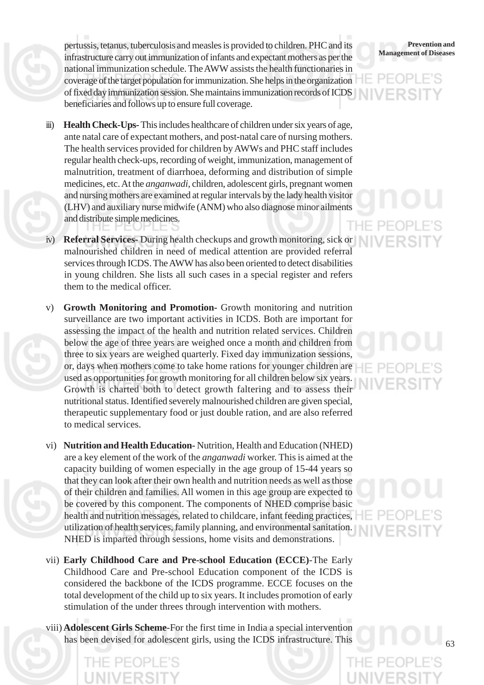**Management of Diseases** pertussis, tetanus, tuberculosis and measles is provided to children. PHC and its infrastructure carry out immunization of infants and expectant mothers as per the national immunization schedule. The AWW assists the health functionaries in coverage of the target population for immunization. She helps in the organization of fixed day immunization session. She maintains immunization records of ICDS beneficiaries and follows up to ensure full coverage.

- iii) **Health Check-Ups-**This includes healthcare of children under six years of age, ante natal care of expectant mothers, and post-natal care of nursing mothers. The health services provided for children by AWWs and PHC staff includes regular health check-ups, recording of weight, immunization, management of malnutrition, treatment of diarrhoea, deforming and distribution of simple medicines, etc. At the *anganwadi*, children, adolescent girls, pregnant women and nursing mothers are examined at regular intervals by the lady health visitor (LHV) and auxiliary nurse midwife (ANM) who also diagnose minor ailments and distribute simple medicines.
- **Referral Services-** During health checkups and growth monitoring, sick or malnourished children in need of medical attention are provided referral services through ICDS. The AWW has also been oriented to detect disabilities in young children. She lists all such cases in a special register and refers them to the medical officer.
- v) **Growth Monitoring and Promotion-** Growth monitoring and nutrition surveillance are two important activities in ICDS. Both are important for assessing the impact of the health and nutrition related services. Children below the age of three years are weighed once a month and children from three to six years are weighed quarterly. Fixed day immunization sessions, or, days when mothers come to take home rations for younger children are used as opportunities for growth monitoring for all children below six years. Growth is charted both to detect growth faltering and to assess their nutritional status. Identified severely malnourished children are given special, therapeutic supplementary food or just double ration, and are also referred to medical services.
- vi) **Nutrition and Health Education-** Nutrition, Health and Education (NHED) are a key element of the work of the *anganwadi* worker. This is aimed at the capacity building of women especially in the age group of 15-44 years so that they can look after their own health and nutrition needs as well as those of their children and families. All women in this age group are expected to be covered by this component. The components of NHED comprise basic health and nutrition messages, related to childcare, infant feeding practices, utilization of health services, family planning, and environmental sanitation. NHED is imparted through sessions, home visits and demonstrations.
- vii) **Early Childhood Care and Pre-school Education (ECCE)***-*The Early Childhood Care and Pre-school Education component of the ICDS is considered the backbone of the ICDS programme. ECCE focuses on the total development of the child up to six years. It includes promotion of early stimulation of the under threes through intervention with mothers.
- viii) **Adolescent Girls Scheme**-For the first time in India a special intervention has been devised for adolescent girls, using the ICDS infrastructure. This

## **Prevention and**<br>**Management of Diseases**

## THE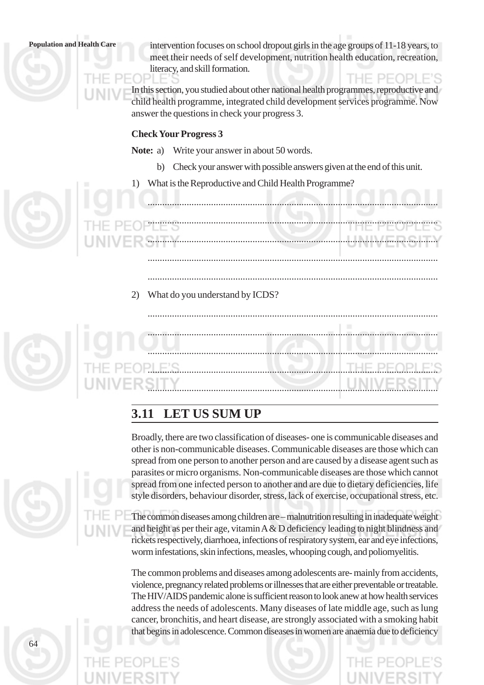64

**Population and Health Care** intervention focuses on school dropout girls in the age groups of 11-18 years, to meet their needs of self development, nutrition health education, recreation, literacy, and skill formation.

> In this section, you studied about other national health programmes, reproductive and child health programme, integrated child development services programme. Now answer the questions in check your progress 3.

#### **Check Your Progress 3**

**Note:** a) Write your answer in about 50 words.

b) Check your answer with possible answers given at the end of this unit.

.......................................................................................................................

1) What is the Reproductive and Child Health Programme?

....................................................................................................................... ....................................................................................................................... ....................................................................................................................... .......................................................................................................................

2) What do you understand by ICDS?

....................................................................................................................... ....................................................................................................................... ....................................................................................................................... .......................................................................................................................

#### **3.11 LET US SUM UP**

Broadly, there are two classification of diseases- one is communicable diseases and other is non-communicable diseases. Communicable diseases are those which can spread from one person to another person and are caused by a disease agent such as parasites or micro organisms. Non-communicable diseases are those which cannot spread from one infected person to another and are due to dietary deficiencies, life style disorders, behaviour disorder, stress, lack of exercise, occupational stress, etc.

The common diseases among children are – malnutrition resulting in inadequate weight and height as per their age, vitamin  $A \& D$  deficiency leading to night blindness and rickets respectively, diarrhoea, infections of respiratory system, ear and eye infections, worm infestations, skin infections, measles, whooping cough, and poliomyelitis.

The common problems and diseases among adolescents are*-*mainly from accidents, violence, pregnancy related problems or illnesses that are either preventable or treatable. The HIV/AIDS pandemic alone is sufficient reason to look anew at how health services address the needs of adolescents. Many diseases of late middle age, such as lung cancer, bronchitis, and heart disease, are strongly associated with a smoking habit that begins in adolescence. Common diseases in women are anaemia due to deficiency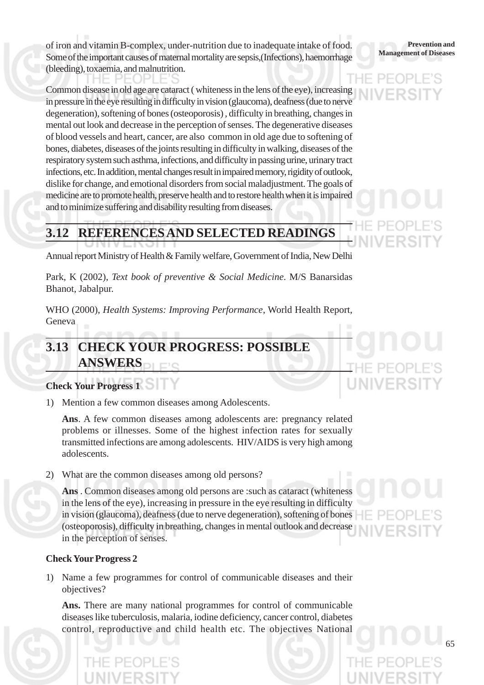**Management of Diseases** of iron and vitamin B-complex, under-nutrition due to inadequate intake of food. Some of the important causes of maternal mortality are sepsis,(Infections), haemorrhage (bleeding), toxaemia, and malnutrition. HE PEOF

Common disease in old age are cataract ( whiteness in the lens of the eye), increasing in pressure in the eye resulting in difficulty in vision (glaucoma), deafness (due to nerve degeneration), softening of bones (osteoporosis) , difficulty in breathing, changes in mental out look and decrease in the perception of senses. The degenerative diseases of blood vessels and heart, cancer, are also common in old age due to softening of bones, diabetes, diseases of the joints resulting in difficulty in walking, diseases of the respiratory system such asthma, infections, and difficulty in passing urine, urinary tract infections, etc. In addition, mental changes result in impaired memory, rigidity of outlook, dislike for change, and emotional disorders from social maladjustment. The goals of medicine are to promote health, preserve health and to restore health when it is impaired and to minimize suffering and disability resulting from diseases.

**Prevention and**<br>**Management of Diseases** 

## **3.12 REFERENCES AND SELECTED READINGS**

Annual report Ministry of Health & Family welfare, Government of India, New Delhi

Park, K (2002), *Text book of preventive & Social Medicine*. M/S Banarsidas Bhanot, Jabalpur.

WHO (2000), *Health Systems: Improving Performance*, World Health Report, Geneva

## **3.13 CHECK YOUR PROGRESS: POSSIBLE ANSWERS**

#### **Check Your Progress 1**

1) Mention a few common diseases among Adolescents.

**Ans**. A few common diseases among adolescents are: pregnancy related problems or illnesses. Some of the highest infection rates for sexually transmitted infections are among adolescents. HIV/AIDS is very high among adolescents.

2) What are the common diseases among old persons?

**Ans** . Common diseases among old persons are :such as cataract (whiteness in the lens of the eye), increasing in pressure in the eye resulting in difficulty in vision (glaucoma), deafness (due to nerve degeneration), softening of bones (osteoporosis), difficulty in breathing, changes in mental outlook and decrease in the perception of senses.

#### **Check Your Progress 2**

1) Name a few programmes for control of communicable diseases and their objectives?

**Ans.** There are many national programmes for control of communicable diseases like tuberculosis, malaria, iodine deficiency, cancer control, diabetes control, reproductive and child health etc. The objectives National